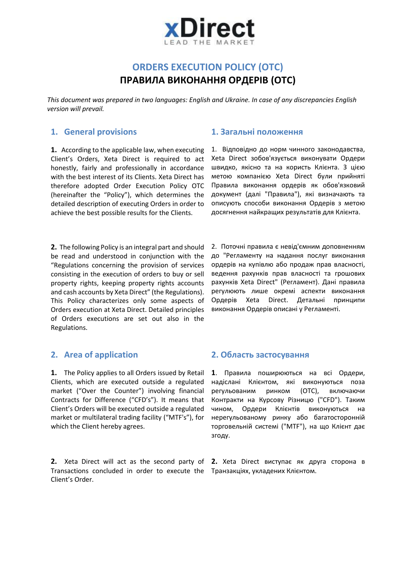

# **ORDERS EXECUTION POLICY (OTC) ПРАВИЛА ВИКОНАННЯ ОРДЕРІВ (ОТС)**

*This document was prepared in two languages: English and Ukraine. In case of any discrepancies English version will prevail.* 

### **1. General provisions 1. Загальні положення**

**1.** According to the applicable law, when executing Client's Orders, Xeta Direct is required to act honestly, fairly and professionally in accordance with the best interest of its Clients. Xeta Direct has therefore adopted Order Execution Policy OTC (hereinafter the "Policy"), which determines the detailed description of executing Orders in order to achieve the best possible results for the Clients.

**2.** The following Policy is an integral part and should be read and understood in conjunction with the "Regulations concerning the provision of services consisting in the execution of orders to buy or sell property rights, keeping property rights accounts and cash accounts by Xeta Direct" (the Regulations). This Policy characterizes only some aspects of Orders execution at Xeta Direct. Detailed principles of Orders executions are set out also in the Regulations.

1. Відповідно до норм чинного законодавства, Xeta Direct зобов'язується виконувати Ордери швидко, якісно та на користь Клієнта. З цією метою компанією Xeta Direct були прийняті Правила виконання ордерів як обов'язковий документ (далі "Правила"), які визначають та описують способи виконання Ордерів з метою досягнення найкращих результатів для Клієнта.

2. Поточні правила є невід'ємним доповненням до "Регламенту на надання послуг виконання ордерів на купівлю або продаж прав власності, ведення рахунків прав власності та грошових рахунків Xeta Direct" (Регламент). Дані правила регулюють лише окремі аспекти виконання Ордерів Xeta Direct. Детальні принципи виконання Ордерів описані у Регламенті.

**1.** The Policy applies to all Orders issued by Retail Clients, which are executed outside a regulated market ("Over the Counter") involving financial Contracts for Difference ("CFD's"). It means that Client's Orders will be executed outside a regulated market or multilateral trading facility ("MTF's"), for which the Client hereby agrees.

**2.** Xeta Direct will act as the second party of **2.** Xeta Direct виступає як друга сторона в Transactions concluded in order to execute the Транзакціях, укладених Клієнтом.Client's Order.

### **2. Area of application 2. Область застосування**

**1**. Правила поширюються на всі Ордери, надіслані Клієнтом, які виконуються поза регульованим ринком (ОТС), включаючи Контракти на Курсову Різницю ("CFD"). Таким чином, Ордери Клієнтів виконуються на нерегульованому ринку або багатосторонній торговельній системі ("MTF"), на що Клієнт дає згоду.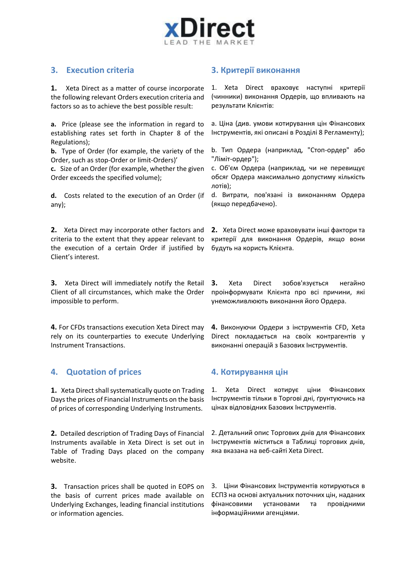

**1.** Xeta Direct as a matter of course incorporate the following relevant Orders execution criteria and factors so as to achieve the best possible result:

**a.** Price (please see the information in regard to establishing rates set forth in Chapter 8 of the Regulations);

**b.** Type of Order (for example, the variety of the Order, such as stop-Order or limit-Orders)'

**c.** Size of an Order (for example, whether the given Order exceeds the specified volume);

**d.** Costs related to the execution of an Order (if any);

**2.** Xeta Direct may incorporate other factors and criteria to the extent that they appear relevant to the execution of a certain Order if justified by Client's interest.

**3.** Xeta Direct will immediately notify the Retail Client of all circumstances, which make the Order impossible to perform.

**4.** For CFDs transactions execution Xeta Direct may rely on its counterparties to execute Underlying Instrument Transactions.

## **4. Quotation of prices 4. Котирування цін**

**1.** Xeta Direct shall systematically quote on Trading Days the prices of Financial Instruments on the basis of prices of corresponding Underlying Instruments.

**2.** Detailed description of Trading Days of Financial Instruments available in Xeta Direct is set out in Table of Trading Days placed on the company website.

**3.** Transaction prices shall be quoted in EOPS on the basis of current prices made available on Underlying Exchanges, leading financial institutions or information agencies.

## **3. Execution criteria 3. Критерії виконання**

1. Xeta Direct враховує наступні критерії (чинники) виконання Ордерів, що впливають на результати Клієнтів:

a. Ціна (див. умови котирування цін Фінансових Інструментів, які описані в Розділі 8 Регламенту);

b. Тип Ордера (наприклад, "Стоп-ордер" або "Ліміт-ордер");

с. Об'єм Ордера (наприклад, чи не перевищує обсяг Ордера максимально допустиму кількість лотів);

d. Витрати, пов'язані із виконанням Ордера (якщо передбачено).

**2.** Xeta Direct може враховувати інші фактори та критерії для виконання Ордерів, якщо вони будуть на користь Клієнта.

**3.** Xeta Direct зобов'язується негайно проінформувати Клієнта про всі причини, які унеможливлюють виконання його Ордера.

**4.** Виконуючи Ордери з інструментів CFD, Xeta Direct покладається на своїх контрагентів у виконанні операцій з Базових Інструментів.

1. Xeta Direct котирує ціни Фінансових Інструментів тільки в Торгові дні, ґрунтуючись на цінах відповідних Базових Інструментів.

2. Детальний опис Торгових днів для Фінансових Інструментів міститься в Таблиці торгових днів, яка вказана на веб-сайті Xeta Direct.

3. Ціни Фінансових Інструментів котируються в ЕСПЗ на основі актуальних поточних цін, наданих фінансовими установами та провідними інформаційними агенціями.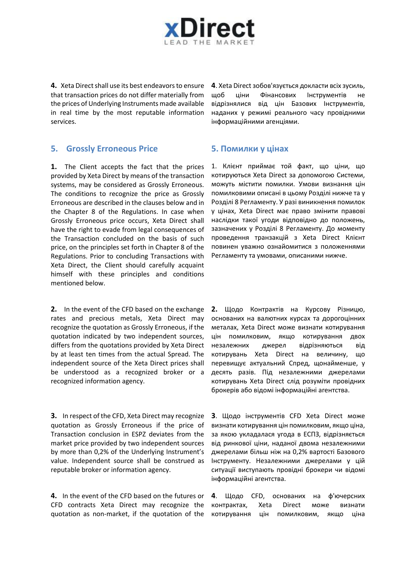

**4.** Xeta Direct shall use its best endeavors to ensure that transaction prices do not differ materially from the prices of Underlying Instruments made available in real time by the most reputable information services.

### **5. Grossly Erroneous Price 5. Помилки у цінах**

**1.** The Client accepts the fact that the prices provided by Xeta Direct by means of the transaction systems, may be considered as Grossly Erroneous. The conditions to recognize the price as Grossly Erroneous are described in the clauses below and in the Chapter 8 of the Regulations. In case when Grossly Erroneous price occurs, Xeta Direct shall have the right to evade from legal consequences of the Transaction concluded on the basis of such price, on the principles set forth in Chapter 8 of the Regulations. Prior to concluding Transactions with Xeta Direct, the Client should carefully acquaint himself with these principles and conditions mentioned below.

**2.** In the event of the CFD based on the exchange rates and precious metals, Xeta Direct may recognize the quotation as Grossly Erroneous, if the quotation indicated by two independent sources, differs from the quotations provided by Xeta Direct by at least ten times from the actual Spread. The independent source of the Xeta Direct prices shall be understood as a recognized broker or a recognized information agency.

**3.** In respect of the CFD, Xeta Direct may recognize quotation as Grossly Erroneous if the price of Transaction conclusion in ESPZ deviates from the market price provided by two independent sources by more than 0,2% of the Underlying Instrument's value. Independent source shall be construed as reputable broker or information agency.

**4.** In the event of the CFD based on the futures or CFD contracts Xeta Direct may recognize the quotation as non-market, if the quotation of the

**4**. Xeta Direct зобов'язується докласти всіх зусиль, щоб ціни Фінансових Інструментів не відрізнялися від цін Базових Інструментів, наданих у режимі реального часу провідними інформаційними агенціями.

1. Клієнт приймає той факт, що ціни, що котируються Xeta Direct за допомогою Системи, можуть містити помилки. Умови визнання цін помилковими описані в цьому Розділі нижче та у Розділі 8 Регламенту. У разі виникнення помилок у цінах, Xeta Direct має право змінити правові наслідки такої угоди відповідно до положень, зазначених у Розділі 8 Регламенту. До моменту проведення транзакцій з Xeta Direct Клієнт повинен уважно ознайомитися з положеннями Регламенту та умовами, описаними нижче.

**2.** Щодо Контрактів на Курсову Різницю, основаних на валютних курсах та дорогоцінних металах, Xeta Direct може визнати котирування цін помилковим, якщо котирування двох незалежних джерел відрізняються від котирувань Xeta Direct на величину, що перевищує актуальний Спред, щонайменше, у десять разів. Під незалежними джерелами котирувань Xeta Direct слід розуміти провідних брокерів або відомі інформаційні агентства.

**3**. Щодо інструментів CFD Xeta Direct може визнати котирування цін помилковим, якщо ціна, за якою укладалася угода в ЕСПЗ, відрізняється від ринкової ціни, наданої двома незалежними джерелами більш ніж на 0,2% вартості Базового Інструменту. Незалежними джерелами у цій ситуації виступають провідні брокери чи відомі інформаційні агентства.

**4**. Щодо CFD, основаних на ф'ючерсних контрактах, Xeta Direct може визнати котирування цін помилковим, якщо ціна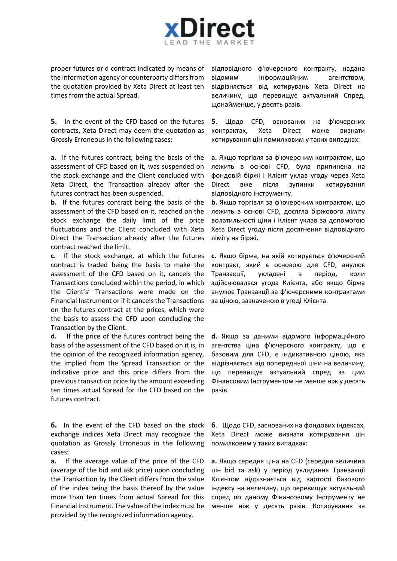

proper futures or d contract indicated by means of the information agency or counterparty differs from the quotation provided by Xeta Direct at least ten times from the actual Spread.

**5.** In the event of the CFD based on the futures contracts, Xeta Direct may deem the quotation as Grossly Erroneous in the following cases:

**a.** If the futures contract, being the basis of the assessment of CFD based on it, was suspended on the stock exchange and the Client concluded with Xeta Direct, the Transaction already after the futures contract has been suspended.

**b.** If the futures contract being the basis of the assessment of the CFD based on it, reached on the stock exchange the daily limit of the price fluctuations and the Client concluded with Xeta Direct the Transaction already after the futures contract reached the limit.

**c.** If the stock exchange, at which the futures contract is traded being the basis to make the assessment of the CFD based on it, cancels the Transactions concluded within the period, in which the Client's' Transactions were made on the Financial Instrument or if it cancels the Transactions on the futures contract at the prices, which were the basis to assess the CFD upon concluding the Transaction by the Client.

**d.** If the price of the futures contract being the basis of the assessment of the CFD based on it is, in the opinion of the recognized information agency, the implied from the Spread Transaction or the indicative price and this price differs from the previous transaction price by the amount exceeding ten times actual Spread for the CFD based on the futures contract.

**6.** In the event of the CFD based on the stock exchange indices Xeta Direct may recognize the quotation as Grossly Erroneous in the following cases:

**a.** If the average value of the price of the CFD (average of the bid and ask price) upon concluding the Transaction by the Client differs from the value of the index being the basis thereof by the value more than ten times from actual Spread for this Financial Instrument. The value of the index must be provided by the recognized information agency.

відповідного ф'ючерсного контракту, надана відомим інформаційним агентством, відрізняється від котирувань Xeta Direct на величину, що перевищує актуальний Спред, щонайменше, у десять разів.

**5**. Щодо CFD, основаних на ф'ючерсних контрактах, Xeta Direct може визнати котирування цін помилковим у таких випадках:

**a.** Якщо торгівля за ф'ючерсним контрактом, що лежить в основі CFD, була припинена на фондовій біржі і Клієнт уклав угоду через Xeta Direct вже після зупинки котирування відповідного інструменту.

**b.** Якщо торгівля за ф'ючерсним контрактом, що лежить в основі CFD, досягла біржового ліміту волатильності ціни і Клієнт уклав за допомогою Xeta Direct угоду після досягнення відповідного ліміту на біржі.

**с.** Якщо біржа, на якій котирується ф'ючерсний контракт, який є основою для CFD, анулює Транзакції, укладені в період, коли здійснювалася угода Клієнта, або якщо біржа анулює Транзакції за ф'ючерсними контрактами за ціною, зазначеною в угоді Клієнта.

**d.** Якщо за даними відомого інформаційного агентства ціна ф'ючерсного контракту, що є базовим для CFD, є індикативною ціною, яка відрізняється від попередньої ціни на величину, що перевищує актуальний спред за цим Фінансовим Інструментом не менше ніж у десять разів.

**6**. Щодо CFD, заснованих на фондових індексах, Xeta Direct може визнати котирування цін помилковим у таких випадках:

**a.** Якщо середня ціна на CFD (середня величина цін bid та ask) у період укладання Транзакції Клієнтом відрізняється від вартості базового індексу на величину, що перевищує актуальний спред по даному Фінансовому Інструменту не менше ніж у десять разів. Котирування за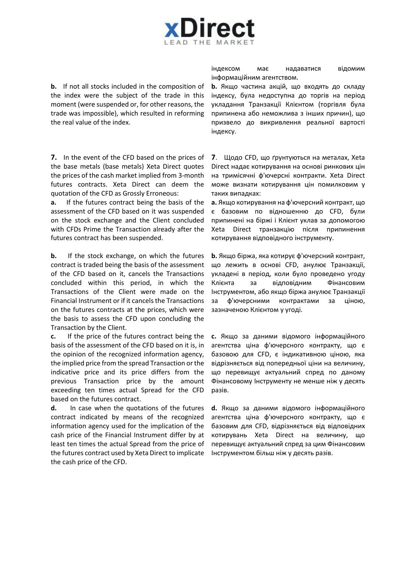

**b.** If not all stocks included in the composition of the index were the subject of the trade in this moment (were suspended or, for other reasons, the trade was impossible), which resulted in reforming the real value of the index.

**7.** In the event of the CFD based on the prices of the base metals (base metals) Xeta Direct quotes the prices of the cash market implied from 3-month futures contracts. Xeta Direct can deem the quotation of the CFD as Grossly Erroneous:

**a.** If the futures contract being the basis of the assessment of the CFD based on it was suspended on the stock exchange and the Client concluded with CFDs Prime the Transaction already after the futures contract has been suspended.

**b.** If the stock exchange, on which the futures contract is traded being the basis of the assessment of the CFD based on it, cancels the Transactions concluded within this period, in which the Transactions of the Client were made on the Financial Instrument or if it cancels the Transactions on the futures contracts at the prices, which were the basis to assess the CFD upon concluding the Transaction by the Client.

**c.** If the price of the futures contract being the basis of the assessment of the CFD based on it is, in the opinion of the recognized information agency, the implied price from the spread Transaction or the indicative price and its price differs from the previous Transaction price by the amount exceeding ten times actual Spread for the CFD based on the futures contract.

**d.** In case when the quotations of the futures contract indicated by means of the recognized information agency used for the implication of the cash price of the Financial Instrument differ by at least ten times the actual Spread from the price of the futures contract used by Xeta Direct to implicate the cash price of the CFD.

індексом має надаватися відомим інформаційним агентством.

**b.** Якщо частина акцій, що входять до складу індексу, була недоступна до торгів на період укладання Транзакції Клієнтом (торгівля була припинена або неможлива з інших причин), що призвело до викривлення реальної вартості індексу.

**7**. Щодо CFD, що ґрунтуються на металах, Xeta Direct надає котирування на основі ринкових цін на тримісячні ф'ючерсні контракти. Xeta Direct може визнати котирування цін помилковим у таких випадках:

**a.** Якщо котирування на ф'ючерсний контракт, що є базовим по відношенню до CFD, були припинені на біржі і Клієнт уклав за допомогою Xeta Direct транзакцію після припинення котирування відповідного інструменту.

**b.** Якщо біржа, яка котирує ф'ючерсний контракт, що лежить в основі CFD, анулює Транзакції, укладені в період, коли було проведено угоду Клієнта за відповідним Фінансовим Інструментом, або якщо біржа анулює Транзакції за ф'ючерсними контрактами за ціною, зазначеною Клієнтом у угоді.

**с.** Якщо за даними відомого інформаційного агентства ціна ф'ючерсного контракту, що є базовою для CFD, є індикативною ціною, яка відрізняється від попередньої ціни на величину, що перевищує актуальний спред по даному Фінансовому Інструменту не менше ніж у десять разів.

**d.** Якщо за даними відомого інформаційного агентства ціна ф'ючерсного контракту, що є базовим для CFD, відрізняється від відповідних котирувань Xeta Direct на величину, що перевищує актуальний спред за цим Фінансовим Інструментом більш ніж у десять разів.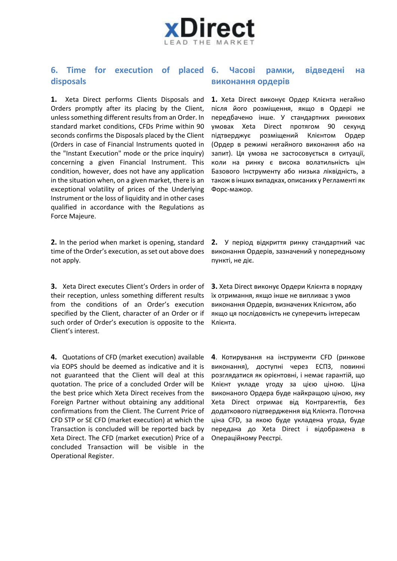

### **6. Time for execution of placed disposals 6. Часові рамки, відведені на виконання ордерів**

**1.** Xeta Direct performs Clients Disposals and Orders promptly after its placing by the Client, unless something different results from an Order. In standard market conditions, CFDs Prime within 90 seconds confirms the Disposals placed by the Client (Orders in case of Financial Instruments quoted in the "Instant Execution" mode or the price inquiry) concerning a given Financial Instrument. This condition, however, does not have any application in the situation when, on a given market, there is an exceptional volatility of prices of the Underlying Instrument or the loss of liquidity and in other cases qualified in accordance with the Regulations as Force Majeure.

**2.** In the period when market is opening, standard time of the Order's execution, as set out above does not apply.

**3.** Xeta Direct executes Client's Orders in order of their reception, unless something different results from the conditions of an Order's execution specified by the Client, character of an Order or if such order of Order's execution is opposite to the Client's interest.

**4.** Quotations of CFD (market execution) available via EOPS should be deemed as indicative and it is not guaranteed that the Client will deal at this quotation. The price of a concluded Order will be the best price which Xeta Direct receives from the Foreign Partner without obtaining any additional confirmations from the Client. The Current Price of CFD STP or SE CFD (market execution) at which the Transaction is concluded will be reported back by Xeta Direct. The CFD (market execution) Price of a concluded Transaction will be visible in the Operational Register.

**1.** Xeta Direct виконує Ордер Клієнта негайно після його розміщення, якщо в Ордері не передбачено інше. У стандартних ринкових умовах Xeta Direct протягом 90 секунд підтверджує розміщений Клієнтом Ордер (Ордер в режимі негайного виконання або на запит). Ця умова не застосовується в ситуації, коли на ринку є висока волатильність цін Базового Інструменту або низька ліквідність, а також в інших випадках, описаних у Регламенті як Форс-мажор.

**2.** У період відкриття ринку стандартний час виконання Ордерів, зазначений у попередньому пункті, не діє.

**3.** Xeta Direct виконує Ордери Клієнта в порядку їх отримання, якщо інше не випливає з умов виконання Ордерів, визначених Клієнтом, або якщо ця послідовність не суперечить інтересам Клієнта.

**4**. Котирування на інструменти CFD (ринкове виконання), доступні через ЕСПЗ, повинні розглядатися як орієнтовні, і немає гарантій, що Клієнт укладе угоду за цією ціною. Ціна виконаного Ордера буде найкращою ціною, яку Xeta Direct отримає від Контрагентів, без додаткового підтвердження від Клієнта. Поточна ціна CFD, за якою буде укладена угода, буде передана до Xeta Direct і відображена в Операційному Реєстрі.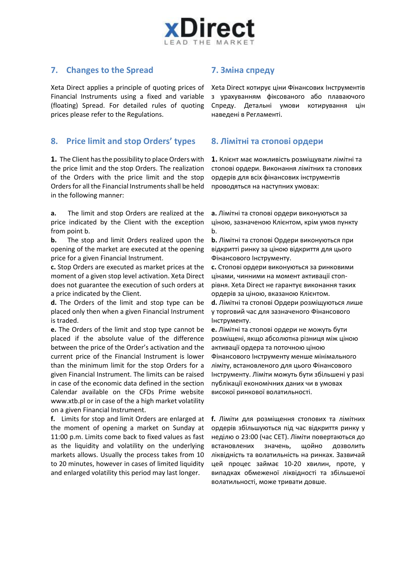

### **7. Changes to the Spread 7. Зміна спреду**

Xeta Direct applies a principle of quoting prices of Financial Instruments using a fixed and variable (floating) Spread. For detailed rules of quoting prices please refer to the Regulations.

### **8. Price limit and stop Orders' types 8. Лімітні та стопові ордери**

**1.** The Client has the possibility to place Orders with the price limit and the stop Orders. The realization of the Orders with the price limit and the stop Orders for all the Financial Instruments shall be held in the following manner:

**a.** The limit and stop Orders are realized at the price indicated by the Client with the exception from point b.

**b.** The stop and limit Orders realized upon the opening of the market are executed at the opening price for a given Financial Instrument.

**c.** Stop Orders are executed as market prices at the moment of a given stop level activation. Xeta Direct does not guarantee the execution of such orders at a price indicated by the Client.

**d.** The Orders of the limit and stop type can be placed only then when a given Financial Instrument is traded.

**e.** The Orders of the limit and stop type cannot be placed if the absolute value of the difference between the price of the Order's activation and the current price of the Financial Instrument is lower than the minimum limit for the stop Orders for a given Financial Instrument. The limits can be raised in case of the economic data defined in the section Calendar available on the CFDs Prime website www.xtb.pl or in case of the a high market volatility on a given Financial Instrument.

**f.** Limits for stop and limit Orders are enlarged at the moment of opening a market on Sunday at 11:00 p.m. Limits come back to fixed values as fast as the liquidity and volatility on the underlying markets allows. Usually the process takes from 10 to 20 minutes, however in cases of limited liquidity and enlarged volatility this period may last longer.

Xeta Direct котирує ціни Фінансових Інструментів з урахуванням фіксованого або плаваючого Спреду. Детальні умови котирування цін наведені в Регламенті.

**1.** Клієнт має можливість розміщувати лімітні та стопові ордери. Виконання лімітних та стопових ордерів для всіх фінансових інструментів проводяться на наступних умовах:

**a.** Лімітні та стопові ордери виконуються за ціною, зазначеною Клієнтом, крім умов пункту b.

**b.** Лімітні та стопові Ордери виконуються при відкритті ринку за ціною відкриття для цього Фінансового Інструменту.

**с.** Стопові ордери виконуються за ринковими цінами, чинними на момент активації стопрівня. Xeta Direct не гарантує виконання таких ордерів за ціною, вказаною Клієнтом.

**d.** Лімітні та стопові Ордери розміщуються лише у торговий час для зазначеного Фінансового Інструменту.

**e.** Лімітні та стопові ордери не можуть бути розміщені, якщо абсолютна різниця між ціною активації ордера та поточною ціною Фінансового Інструменту менше мінімального ліміту, встановленого для цього Фінансового Інструменту. Ліміти можуть бути збільшені у разі публікації економічних даних чи в умовах високої ринкової волатильності.

**f.** Ліміти для розміщення стопових та лімітних ордерів збільшуються під час відкриття ринку у неділю о 23:00 (час СЕТ). Ліміти повертаються до встановлених значень, щойно дозволить ліквідність та волатильність на ринках. Зазвичай цей процес займає 10-20 хвилин, проте, у випадках обмеженої ліквідності та збільшеної волатильності, може тривати довше.